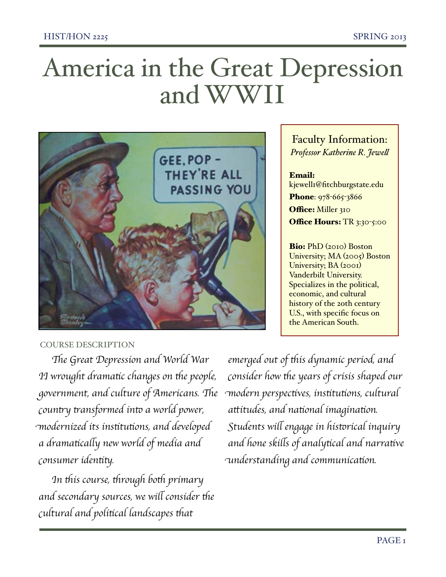# America in the Great Depression and WWI



## Faculty Information: *Professor Katherine R. Jewe!*

## Email: kjewell1@fitchburgstate.edu Phone: 978-665-3866 Office: Miller 310 Office Hours: TR 3:30-5:00

Bio: PhD (2010) Boston University; MA (2005) Boston University; BA (2001) Vanderbilt University. Specializes in the political, economic, and cultural history of the 2oth century U.S., with specific focus on the American South.

### COURSE DESCRIPTION

T*e Great Depression and World War II* wrought dramatic changes on the people, g*overnment, and culture of Americans.* T*e country transformed into a world power,* m*odernized its ins*t*tu*t*ons, and developed a drama*t*ca*l*y new world of media and*  $\emph{constumer identity.}$ 

I*n* t*is course,* t*rough bo*t *primary and* secondary sources, we will consider the c*ultural and poli*t*cal landscapes* t*at*

*emerged out of* t*is dynamic period, and* c*onsider how* t*e years of crisis shaped our* m*odern perspec*t*ves, ins*t*tu*t*ons, cultural a*t*itudes, and na*t*onal imagina*t*on.*  S*tudents wi*l *engage in his*t*rical inquiry and hone ski*l*s of analy*t*cal and narra*t*ve* u*nderstanding and communica*t*on.*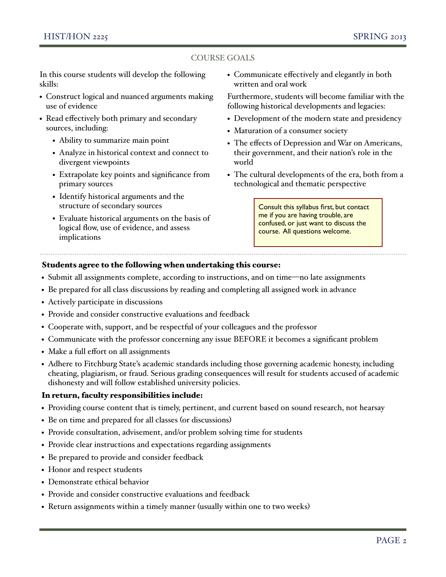#### COURSE GOALS

In this course students will develop the following skills:

- Construct logical and nuanced arguments making use of evidence
- Read effectively both primary and secondary sources, including:
	- Ability to summarize main point
	- Analyze in historical context and connect to divergent viewpoints
	- Extrapolate key points and significance from primary sources
	- Identify historical arguments and the structure of secondary sources
	- Evaluate historical arguments on the basis of logical flow, use of evidence, and assess implications

• Communicate effectively and elegantly in both written and oral work

Furthermore, students will become familiar with the following historical developments and legacies:

- Development of the modern state and presidency
- Maturation of a consumer society
- The effects of Depression and War on Americans, their government, and their nation's role in the world
- The cultural developments of the era, both from a technological and thematic perspective

Consult this syllabus first, but contact me if you are having trouble, are confused, or just want to discuss the course. All questions welcome.

#### Students agree to the following when undertaking this course:

- Submit all assignments complete, according to instructions, and on time—no late assignments
- Be prepared for all class discussions by reading and completing all assigned work in advance
- Actively participate in discussions
- Provide and consider constructive evaluations and feedback
- Cooperate with, support, and be respectful of your colleagues and the professor
- Communicate with the professor concerning any issue BEFORE it becomes a significant problem
- Make a full effort on all assignments
- Adhere to Fitchburg State's academic standards including those governing academic honesty, including cheating, plagiarism, or fraud. Serious grading consequences will result for students accused of academic dishonesty and will follow established university policies.

#### In return, faculty responsibilities include:

- Providing course content that is timely, pertinent, and current based on sound research, not hearsay
- Be on time and prepared for all classes (or discussions)
- Provide consultation, advisement, and/or problem solving time for students
- Provide clear instructions and expectations regarding assignments
- Be prepared to provide and consider feedback
- Honor and respect students
- Demonstrate ethical behavior
- Provide and consider constructive evaluations and feedback
- Return assignments within a timely manner (usually within one to two weeks)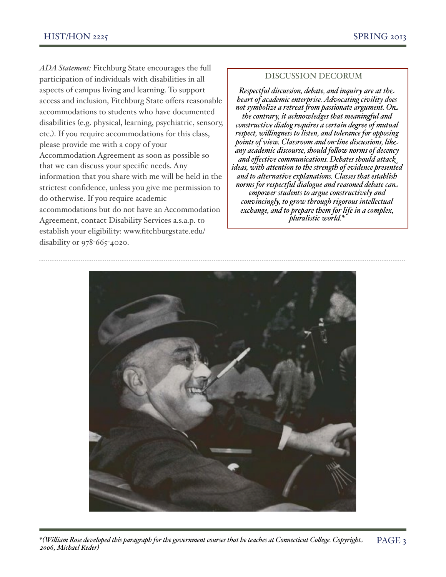*ADA Statement:* Fitchburg State encourages the full participation of individuals with disabilities in all aspects of campus living and learning. To support access and inclusion, Fitchburg State offers reasonable accommodations to students who have documented disabilities (e.g. physical, learning, psychiatric, sensory, etc.). If you require accommodations for this class, please provide me with a copy of your Accommodation Agreement as soon as possible so that we can discuss your specific needs. Any information that you share with me will be held in the strictest confidence, unless you give me permission to do otherwise. If you require academic accommodations but do not have an Accommodation Agreement, contact Disability Services a.s.a.p. to establish your eligibility: [www.fitchburgstate.edu/](http://www.fitchburgstate.edu/disability) [disability](http://www.fitchburgstate.edu/disability) or 978-665-4020.

#### DISCUSSION DECORUM

*Respectful discussion, debate, and inquiry are at the heart of academic enterprise. Advocating civility does not symbolize a retreat "om passionate argument. On the contrary, it acknowledges that meaningful and constructive dialog requires a certain degree of mutual respect, willingness to listen, and tolerance for opposing points of view. Classroom and on-line discussions, like any academic discourse, should fo\$ow norms of decency and effective communications. Debates should attack ideas, with attention to the strength of evidence presented and to alternative explanations. Classes that establish norms for respectful dialogue and reasoned debate can empower students to argue constructively and convincingly, to grow through rigorous intellectual exchange, and to prepare them for life in a complex, pluralistic world.\** 

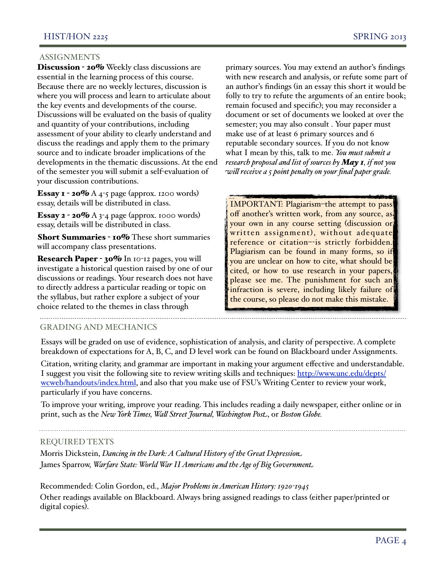#### ASSIGNMENTS

Discussion - 20% Weekly class discussions are essential in the learning process of this course. Because there are no weekly lectures, discussion is where you will process and learn to articulate about the key events and developments of the course. Discussions will be evaluated on the basis of quality and quantity of your contributions, including assessment of your ability to clearly understand and discuss the readings and apply them to the primary source and to indicate broader implications of the developments in the thematic discussions. At the end of the semester you will submit a self-evaluation of your discussion contributions.

**Essay 1 - 20%** A 4-5 page (approx. 1200 words) essay, details will be distributed in class.

Essay 2 - 20% A 3-4 page (approx. 1000 words) essay, details will be distributed in class.

Short Summaries - 10% These short summaries will accompany class presentations.

Research Paper - 30% In 10-12 pages, you will investigate a historical question raised by one of our discussions or readings. Your research does not have to directly address a particular reading or topic on the syllabus, but rather explore a subject of your choice related to the themes in class through

primary sources. You may extend an author's findings with new research and analysis, or refute some part of an author's findings (in an essay this short it would be folly to try to refute the arguments of an entire book; remain focused and specific); you may reconsider a document or set of documents we looked at over the semester; you may also consult . Your paper must make use of at least 6 primary sources and 6 reputable secondary sources. If you do not know what I mean by this, talk to me. *You must submit a research proposal and list of sources by May 1, if not you wi\$ receive a 5 point penalty on your final paper grade.*

IMPORTANT: Plagiarism–the attempt to pass off another's written work, from any source, as your own in any course setting (discussion or written assignment), without adequate reference or citation–-is strictly forbidden. Plagiarism can be found in many forms, so if you are unclear on how to cite, what should be cited, or how to use research in your papers, please see me. The punishment for such an infraction is severe, including likely failure of the course, so please do not make this mistake.

#### GRADING AND MECHANICS

Essays will be graded on use of evidence, sophistication of analysis, and clarity of perspective. A complete breakdown of expectations for A, B, C, and D level work can be found on Blackboard under Assignments.

Citation, writing clarity, and grammar are important in making your argument effective and understandable. I suggest you visit the following site to review writing skills and techniques: [http://www.unc.edu/depts/](http://www.unc.edu/depts/wcweb/handouts/index.html) [wcweb/handouts/index.html,](http://www.unc.edu/depts/wcweb/handouts/index.html) and also that you make use of FSU's Writing Center to review your work, particularly if you have concerns.

To improve your writing, improve your reading. This includes reading a daily newspaper, either online or in print, such as the *New York Times, Wa\$ Street Journal, Washington Post*, or *Boston Globe.*

#### REQUIRED TEXTS

Morris Dickstein, *Dancing in the Dark: A Cultural History of the Great Depression* James Sparrow, *Warfare State: World War II Americans and the Age of Big Government*

Recommended: Colin Gordon, ed., *Major Problems in American History: 1920-1945* Other readings available on Blackboard. Always bring assigned readings to class (either paper/printed or digital copies).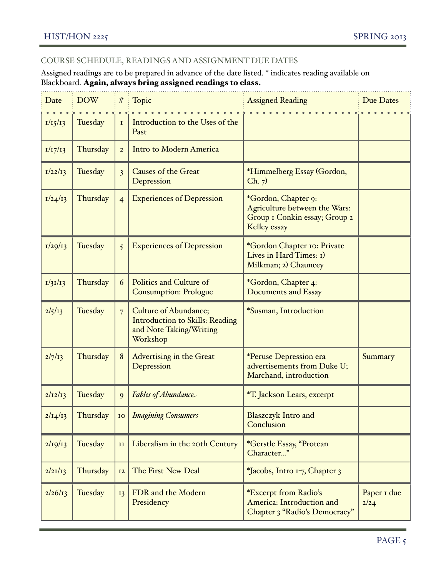## COURSE SCHEDULE, READINGS AND ASSIGNMENT DUE DATES

Assigned readings are to be prepared in advance of the date listed. \* indicates reading available on Blackboard. Again, always bring assigned readings to class.

| Date    | <b>DOW</b> | $\#$                    | $\frac{1}{2}$ Topic                                                                                           | <b>Assigned Reading</b>                                                                               | Due Dates           |
|---------|------------|-------------------------|---------------------------------------------------------------------------------------------------------------|-------------------------------------------------------------------------------------------------------|---------------------|
| 1/15/13 | Tuesday    | $\mathbf I$             | Introduction to the Uses of the<br>Past                                                                       |                                                                                                       |                     |
| 1/17/13 | Thursday   | $\overline{2}$          | <b>Intro to Modern America</b>                                                                                |                                                                                                       |                     |
| I/22/I3 | Tuesday    | $\overline{\mathbf{3}}$ | <b>Causes of the Great</b><br>Depression                                                                      | *Himmelberg Essay (Gordon,<br>Ch. 7)                                                                  |                     |
| I/24/13 | Thursday   | $\overline{4}$          | <b>Experiences of Depression</b>                                                                              | *Gordon, Chapter 9:<br>Agriculture between the Wars:<br>Group I Conkin essay; Group 2<br>Kelley essay |                     |
| 1/29/13 | Tuesday    | $\overline{5}$          | <b>Experiences of Depression</b>                                                                              | *Gordon Chapter 10: Private<br>Lives in Hard Times: 1)<br>Milkman; 2) Chauncey                        |                     |
| 1/31/13 | Thursday   | 6                       | <b>Politics and Culture of</b><br><b>Consumption: Prologue</b>                                                | *Gordon, Chapter 4:<br><b>Documents and Essay</b>                                                     |                     |
| 2/5/13  | Tuesday    | $\overline{7}$          | <b>Culture of Abundance;</b><br><b>Introduction to Skills: Reading</b><br>and Note Taking/Writing<br>Workshop | *Susman, Introduction                                                                                 |                     |
| 2/7/13  | Thursday   | 8                       | <b>Advertising in the Great</b><br>Depression                                                                 | *Peruse Depression era<br>advertisements from Duke U;<br>Marchand, introduction                       | Summary             |
| 2/12/13 | Tuesday    | 9                       | Fables of Abundance                                                                                           | *T. Jackson Lears, excerpt                                                                            |                     |
| 2/14/13 | Thursday   |                         | 10   Imagining Consumers                                                                                      | Blaszczyk Intro and<br>Conclusion                                                                     |                     |
| 2/19/13 | Tuesday    | II                      | Liberalism in the 20th Century                                                                                | *Gerstle Essay, "Protean<br>Character"                                                                |                     |
| 2/21/13 | Thursday   | I2                      | The First New Deal                                                                                            | *Jacobs, Intro 1-7, Chapter 3                                                                         |                     |
| 2/26/13 | Tuesday    | I3                      | FDR and the Modern<br>Presidency                                                                              | *Excerpt from Radio's<br>America: Introduction and<br>Chapter 3 "Radio's Democracy"                   | Paper I due<br>2/24 |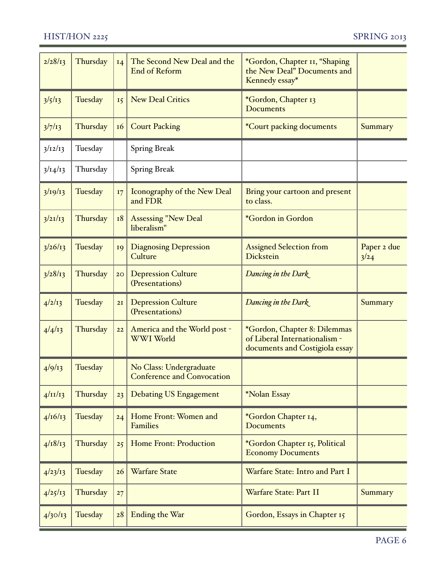| 2/28/13     | Thursday | I4        | The Second New Deal and the<br><b>End of Reform</b>          | *Gordon, Chapter II, "Shaping<br>the New Deal" Documents and<br>Kennedy essay*                  |                     |
|-------------|----------|-----------|--------------------------------------------------------------|-------------------------------------------------------------------------------------------------|---------------------|
| 3/5/13      | Tuesday  | 15        | <b>New Deal Critics</b>                                      | *Gordon, Chapter 13<br><b>Documents</b>                                                         |                     |
| 3/7/13      | Thursday | <b>16</b> | <b>Court Packing</b>                                         | <i><b>*Court packing documents</b></i>                                                          | Summary             |
| 3/12/13     | Tuesday  |           | <b>Spring Break</b>                                          |                                                                                                 |                     |
| 3/14/13     | Thursday |           | <b>Spring Break</b>                                          |                                                                                                 |                     |
| 3/19/13     | Tuesday  | I7        | Iconography of the New Deal<br>and FDR                       | Bring your cartoon and present<br>to class.                                                     |                     |
| 3/21/13     | Thursday | <b>18</b> | <b>Assessing "New Deal</b><br>liberalism"                    | *Gordon in Gordon                                                                               |                     |
| 3/26/13     | Tuesday  | 19        | <b>Diagnosing Depression</b><br>Culture                      | <b>Assigned Selection from</b><br>Dickstein                                                     | Paper 2 due<br>3/24 |
| 3/28/13     | Thursday | 20        | <b>Depression Culture</b><br>(Presentations)                 | Dancing in the Dark                                                                             |                     |
| 4/2/13      | Tuesday  | 2I        | <b>Depression Culture</b><br>(Presentations)                 | Dancing in the Dark                                                                             | Summary             |
| 4/4/13      | Thursday | 22        | America and the World post -<br>WWI World                    | *Gordon, Chapter 8: Dilemmas<br>of Liberal Internationalism -<br>documents and Costigiola essay |                     |
| 4/9/13      | Tuesday  |           | No Class: Undergraduate<br><b>Conference and Convocation</b> |                                                                                                 |                     |
| $4/\pi/\pi$ | Thursday | 23        | <b>Debating US Engagement</b>                                | *Nolan Essay                                                                                    |                     |
| 4/16/13     | Tuesday  | 24        | Home Front: Women and<br><b>Families</b>                     | *Gordon Chapter 14,<br><b>Documents</b>                                                         |                     |
| 4/18/13     | Thursday | 25        | Home Front: Production                                       | *Gordon Chapter 15, Political<br><b>Economy Documents</b>                                       |                     |
| 4/23/13     | Tuesday  | 26        | <b>Warfare State</b>                                         | Warfare State: Intro and Part I                                                                 |                     |
| 4/25/13     | Thursday | 27        |                                                              | Warfare State: Part II                                                                          | Summary             |
| 4/30/13     | Tuesday  | 28        | <b>Ending the War</b>                                        | Gordon, Essays in Chapter 15                                                                    |                     |